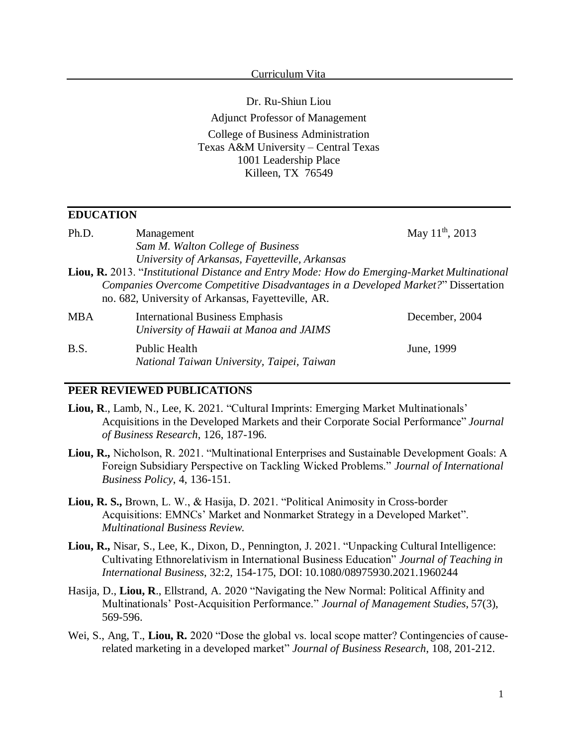#### Curriculum Vita

Dr. Ru-Shiun Liou Adjunct Professor of Management College of Business Administration Texas A&M University – Central Texas 1001 Leadership Place Killeen, TX 76549

#### **EDUCATION**

| Ph.D.                                                                                                                                   | Management                                                                                  | May $11^{th}$ , 2013 |  |  |
|-----------------------------------------------------------------------------------------------------------------------------------------|---------------------------------------------------------------------------------------------|----------------------|--|--|
|                                                                                                                                         | Sam M. Walton College of Business                                                           |                      |  |  |
|                                                                                                                                         | University of Arkansas, Fayetteville, Arkansas                                              |                      |  |  |
|                                                                                                                                         | Liou, R. 2013. "Institutional Distance and Entry Mode: How do Emerging-Market Multinational |                      |  |  |
| Companies Overcome Competitive Disadvantages in a Developed Market?" Dissertation<br>no. 682, University of Arkansas, Fayetteville, AR. |                                                                                             |                      |  |  |
| <b>MBA</b>                                                                                                                              | <b>International Business Emphasis</b><br>University of Hawaii at Manoa and JAIMS           | December, 2004       |  |  |
| B.S.                                                                                                                                    | <b>Public Health</b><br>National Taiwan University, Taipei, Taiwan                          | June, 1999           |  |  |

#### **PEER REVIEWED PUBLICATIONS**

- **Liou, R**., Lamb, N., Lee, K. 2021. "Cultural Imprints: Emerging Market Multinationals' Acquisitions in the Developed Markets and their Corporate Social Performance" *Journal of Business Research*, 126, 187-196.
- **Liou, R.,** Nicholson, R. 2021. "Multinational Enterprises and Sustainable Development Goals: A Foreign Subsidiary Perspective on Tackling Wicked Problems." *Journal of International Business Policy*, 4, 136-151.
- **Liou, R. S.,** Brown, L. W., & Hasija, D. 2021. "Political Animosity in Cross-border Acquisitions: EMNCs' Market and Nonmarket Strategy in a Developed Market". *Multinational Business Review*.
- **Liou, R.,** Nisar, S., Lee, K., Dixon, D., Pennington, J. 2021. "Unpacking Cultural Intelligence: Cultivating Ethnorelativism in International Business Education" *Journal of Teaching in International Business*, 32:2, 154-175, DOI: 10.1080/08975930.2021.1960244
- Hasija, D., **Liou, R**., Ellstrand, A. 2020 "Navigating the New Normal: Political Affinity and Multinationals' Post‐Acquisition Performance." *Journal of Management Studies*, 57(3), 569-596.
- Wei, S., Ang, T., Liou, R. 2020 "Dose the global vs. local scope matter? Contingencies of causerelated marketing in a developed market" *Journal of Business Research*, 108, 201-212.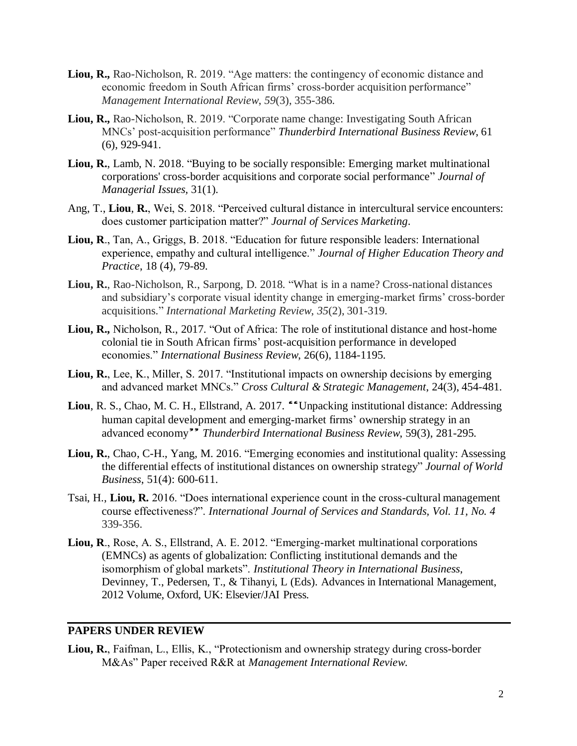- **Liou, R.,** Rao-Nicholson, R. 2019. "Age matters: the contingency of economic distance and economic freedom in South African firms' cross-border acquisition performance" *Management International Review*, *59*(3), 355-386.
- **Liou, R.,** Rao-Nicholson, R. 2019. "Corporate name change: Investigating South African MNCs' post-acquisition performance" *Thunderbird International Business Review*, 61 (6), 929-941.
- **Liou, R.**, Lamb, N. 2018. "Buying to be socially responsible: Emerging market multinational corporations' cross-border acquisitions and corporate social performance" *Journal of Managerial Issues,* 31(1)*.*
- Ang, T., **Liou**, **R.**, Wei, S. 2018. "Perceived cultural distance in intercultural service encounters: does customer participation matter?" *Journal of Services Marketing*.
- **Liou, R**., Tan, A., Griggs, B. 2018. "Education for future responsible leaders: International experience, empathy and cultural intelligence." *Journal of Higher Education Theory and Practice*, 18 (4), 79-89.
- **Liou, R.**, Rao-Nicholson, R., Sarpong, D. 2018. "What is in a name? Cross-national distances and subsidiary's corporate visual identity change in emerging-market firms' cross-border acquisitions." *International Marketing Review*, *35*(2), 301-319.
- **Liou, R.,** Nicholson, R., 2017. "Out of Africa: The role of institutional distance and host-home colonial tie in South African firms' post-acquisition performance in developed economies." *International Business Review*, 26(6), 1184-1195.
- **Liou, R.**, Lee, K., Miller, S. 2017. "Institutional impacts on ownership decisions by emerging and advanced market MNCs." *Cross Cultural & Strategic Management*, 24(3), 454-481.
- Liou, R. S., Chao, M. C. H., Ellstrand, A. 2017. "Unpacking institutional distance: Addressing human capital development and emerging-market firms' ownership strategy in an advanced economy" Thunderbird International Business Review, 59(3), 281-295.
- **Liou, R.**, Chao, C-H., Yang, M. 2016. "Emerging economies and institutional quality: Assessing the differential effects of institutional distances on ownership strategy" *Journal of World Business*, 51(4): 600-611.
- Tsai, H., **Liou, R.** 2016. "Does international experience count in the cross-cultural management course effectiveness?". *International Journal of Services and Standards, Vol. 11, No. 4*  339-356.
- **Liou, R**., Rose, A. S., Ellstrand, A. E. 2012. "Emerging-market multinational corporations (EMNCs) as agents of globalization: Conflicting institutional demands and the isomorphism of global markets". *Institutional Theory in International Business*, Devinney, T., Pedersen, T., & Tihanyi, L (Eds). Advances in International Management, 2012 Volume, Oxford, UK: Elsevier/JAI Press.

#### **PAPERS UNDER REVIEW**

**Liou, R.**, Faifman, L., Ellis, K., "Protectionism and ownership strategy during cross-border M&As" Paper received R&R at *Management International Review*.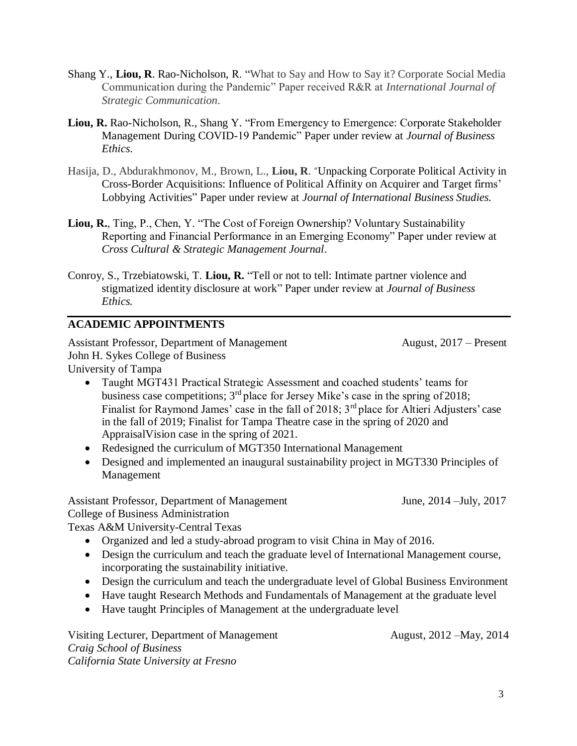- Shang Y., **Liou, R**. Rao-Nicholson, R. "What to Say and How to Say it? Corporate Social Media Communication during the Pandemic" Paper received R&R at *International Journal of Strategic Communication*.
- **Liou, R.** Rao-Nicholson, R., Shang Y. "From Emergency to Emergence: Corporate Stakeholder Management During COVID-19 Pandemic" Paper under review at *Journal of Business Ethics*.
- Hasija, D., Abdurakhmonov, M., Brown, L., **Liou, R**. "Unpacking Corporate Political Activity in Cross-Border Acquisitions: Influence of Political Affinity on Acquirer and Target firms' Lobbying Activities" Paper under review at *Journal of International Business Studies.*
- **Liou, R.**, Ting, P., Chen, Y. "The Cost of Foreign Ownership? Voluntary Sustainability Reporting and Financial Performance in an Emerging Economy" Paper under review at *Cross Cultural & Strategic Management Journal*.
- Conroy, S., Trzebiatowski, T. **Liou, R.** "Tell or not to tell: Intimate partner violence and stigmatized identity disclosure at work" Paper under review at *Journal of Business Ethics.*

# **ACADEMIC APPOINTMENTS**

Assistant Professor, Department of Management August, 2017 – Present John H. Sykes College of Business University of Tampa

- Taught MGT431 Practical Strategic Assessment and coached students' teams for business case competitions;  $3<sup>rd</sup>$  place for Jersey Mike's case in the spring of 2018; Finalist for Raymond James' case in the fall of 2018;  $3<sup>rd</sup>$  place for Altieri Adjusters' case in the fall of 2019; Finalist for Tampa Theatre case in the spring of 2020 and AppraisalVision case in the spring of 2021.
- Redesigned the curriculum of MGT350 International Management
- Designed and implemented an inaugural sustainability project in MGT330 Principles of Management

Assistant Professor, Department of Management June, 2014 –July, 2017

College of Business Administration

Texas A&M University-Central Texas

- Organized and led a study-abroad program to visit China in May of 2016.
- Design the curriculum and teach the graduate level of International Management course, incorporating the sustainability initiative.
- Design the curriculum and teach the undergraduate level of Global Business Environment
- Have taught Research Methods and Fundamentals of Management at the graduate level
- Have taught Principles of Management at the undergraduate level

Visiting Lecturer, Department of Management August, 2012 – May, 2014 *Craig School of Business California State University at Fresno*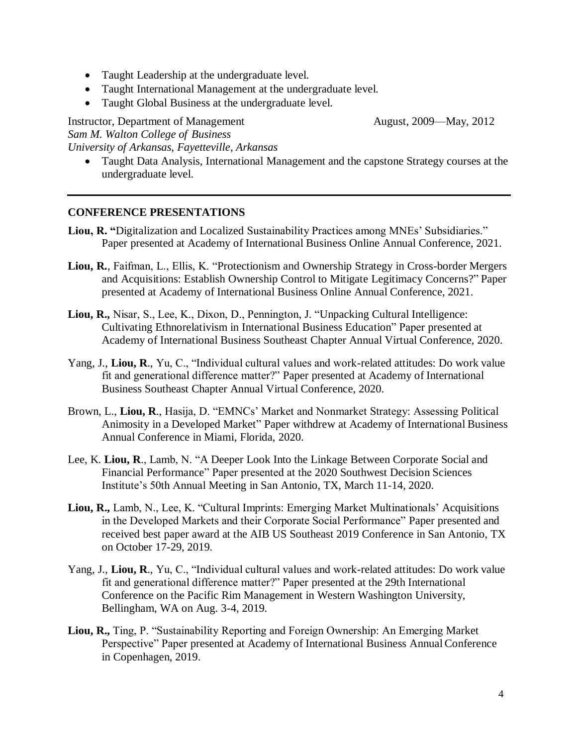- Taught Leadership at the undergraduate level.
- Taught International Management at the undergraduate level.
- Taught Global Business at the undergraduate level.

Instructor, Department of Management August, 2009—May, 2012 *Sam M. Walton College of Business University of Arkansas, Fayetteville, Arkansas*

• Taught Data Analysis, International Management and the capstone Strategy courses at the undergraduate level.

### **CONFERENCE PRESENTATIONS**

- **Liou, R. "**Digitalization and Localized Sustainability Practices among MNEs' Subsidiaries." Paper presented at Academy of International Business Online Annual Conference, 2021.
- **Liou, R.**, Faifman, L., Ellis, K. "Protectionism and Ownership Strategy in Cross-border Mergers and Acquisitions: Establish Ownership Control to Mitigate Legitimacy Concerns?" Paper presented at Academy of International Business Online Annual Conference, 2021.
- **Liou, R.,** Nisar, S., Lee, K., Dixon, D., Pennington, J. "Unpacking Cultural Intelligence: Cultivating Ethnorelativism in International Business Education" Paper presented at Academy of International Business Southeast Chapter Annual Virtual Conference, 2020.
- Yang, J., **Liou, R**., Yu, C., "Individual cultural values and work-related attitudes: Do work value fit and generational difference matter?" Paper presented at Academy of International Business Southeast Chapter Annual Virtual Conference, 2020.
- Brown, L., **Liou, R**., Hasija, D. "EMNCs' Market and Nonmarket Strategy: Assessing Political Animosity in a Developed Market" Paper withdrew at Academy of International Business Annual Conference in Miami, Florida, 2020.
- Lee, K. **Liou, R**., Lamb, N. "A Deeper Look Into the Linkage Between Corporate Social and Financial Performance" Paper presented at the 2020 Southwest Decision Sciences Institute's 50th Annual Meeting in San Antonio, TX, March 11-14, 2020.
- **Liou, R.,** Lamb, N., Lee, K. "Cultural Imprints: Emerging Market Multinationals' Acquisitions in the Developed Markets and their Corporate Social Performance" Paper presented and received best paper award at the AIB US Southeast 2019 Conference in San Antonio, TX on October 17-29, 2019.
- Yang, J., **Liou, R**., Yu, C., "Individual cultural values and work-related attitudes: Do work value fit and generational difference matter?" Paper presented at the 29th International Conference on the Pacific Rim Management in Western Washington University, Bellingham, WA on Aug. 3-4, 2019.
- **Liou, R.,** Ting, P. "Sustainability Reporting and Foreign Ownership: An Emerging Market Perspective" Paper presented at Academy of International Business Annual Conference in Copenhagen, 2019.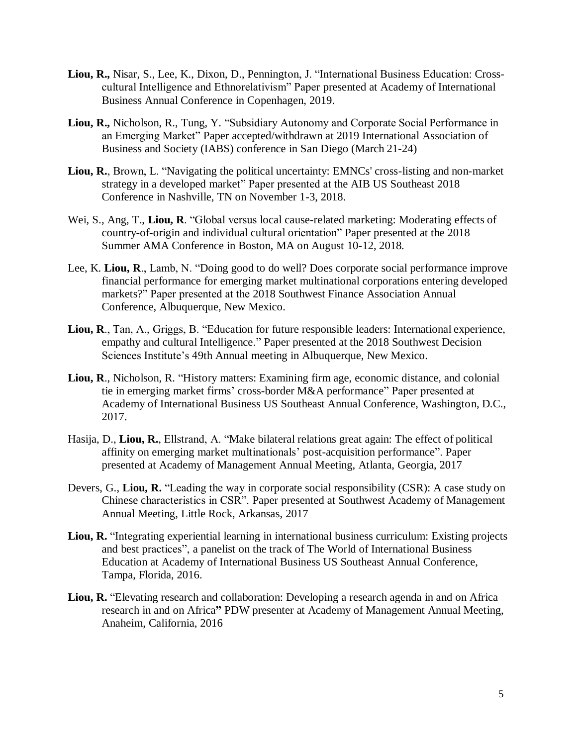- **Liou, R.,** Nisar, S., Lee, K., Dixon, D., Pennington, J. "International Business Education: Crosscultural Intelligence and Ethnorelativism" Paper presented at Academy of International Business Annual Conference in Copenhagen, 2019.
- **Liou, R.,** Nicholson, R., Tung, Y. "Subsidiary Autonomy and Corporate Social Performance in an Emerging Market" Paper accepted/withdrawn at 2019 International Association of Business and Society (IABS) conference in San Diego (March 21-24)
- **Liou, R.**, Brown, L. "Navigating the political uncertainty: EMNCs' cross-listing and non-market strategy in a developed market" Paper presented at the AIB US Southeast 2018 Conference in Nashville, TN on November 1-3, 2018.
- Wei, S., Ang, T., **Liou, R**. "Global versus local cause-related marketing: Moderating effects of country-of-origin and individual cultural orientation" Paper presented at the 2018 Summer AMA Conference in Boston, MA on August 10-12, 2018.
- Lee, K. **Liou, R**., Lamb, N. "Doing good to do well? Does corporate social performance improve financial performance for emerging market multinational corporations entering developed markets?" Paper presented at the 2018 Southwest Finance Association Annual Conference, Albuquerque, New Mexico.
- **Liou, R**., Tan, A., Griggs, B. "Education for future responsible leaders: International experience, empathy and cultural Intelligence." Paper presented at the 2018 Southwest Decision Sciences Institute's 49th Annual meeting in Albuquerque, New Mexico.
- **Liou, R**., Nicholson, R. "History matters: Examining firm age, economic distance, and colonial tie in emerging market firms' cross-border M&A performance" Paper presented at Academy of International Business US Southeast Annual Conference, Washington, D.C., 2017.
- Hasija, D., **Liou, R.**, Ellstrand, A. "Make bilateral relations great again: The effect of political affinity on emerging market multinationals' post-acquisition performance". Paper presented at Academy of Management Annual Meeting, Atlanta, Georgia, 2017
- Devers, G., **Liou, R.** "Leading the way in corporate social responsibility (CSR): A case study on Chinese characteristics in CSR". Paper presented at Southwest Academy of Management Annual Meeting, Little Rock, Arkansas, 2017
- **Liou, R.** "Integrating experiential learning in international business curriculum: Existing projects and best practices", a panelist on the track of The World of International Business Education at Academy of International Business US Southeast Annual Conference, Tampa, Florida, 2016.
- Liou, R. "Elevating research and collaboration: Developing a research agenda in and on Africa research in and on Africa**"** PDW presenter at Academy of Management Annual Meeting, Anaheim, California, 2016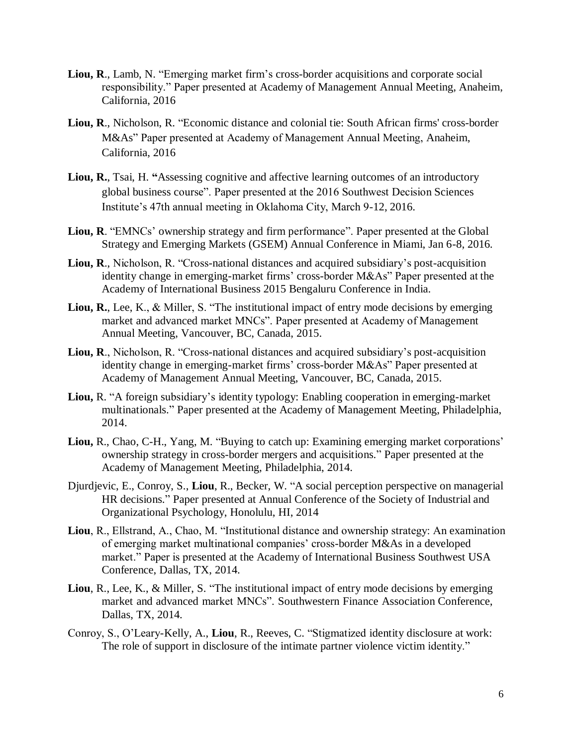- **Liou, R**., Lamb, N. "Emerging market firm's cross-border acquisitions and corporate social responsibility." Paper presented at Academy of Management Annual Meeting, Anaheim, California, 2016
- **Liou, R**., Nicholson, R. "Economic distance and colonial tie: South African firms' cross-border M&As" Paper presented at Academy of Management Annual Meeting, Anaheim, California, 2016
- **Liou, R.**, Tsai, H. **"**Assessing cognitive and affective learning outcomes of an introductory global business course". Paper presented at the 2016 Southwest Decision Sciences Institute's 47th annual meeting in Oklahoma City, March 9-12, 2016.
- **Liou, R**. "EMNCs' ownership strategy and firm performance". Paper presented at the Global Strategy and Emerging Markets (GSEM) Annual Conference in Miami, Jan 6-8, 2016.
- **Liou, R**., Nicholson, R. "Cross-national distances and acquired subsidiary's post-acquisition identity change in emerging-market firms' cross-border M&As" Paper presented at the Academy of International Business 2015 Bengaluru Conference in India.
- **Liou, R.**, Lee, K., & Miller, S. "The institutional impact of entry mode decisions by emerging market and advanced market MNCs". Paper presented at Academy of Management Annual Meeting, Vancouver, BC, Canada, 2015.
- **Liou, R**., Nicholson, R. "Cross-national distances and acquired subsidiary's post-acquisition identity change in emerging-market firms' cross-border M&As" Paper presented at Academy of Management Annual Meeting, Vancouver, BC, Canada, 2015.
- **Liou,** R. "A foreign subsidiary's identity typology: Enabling cooperation in emerging-market multinationals." Paper presented at the Academy of Management Meeting, Philadelphia, 2014.
- **Liou,** R., Chao, C-H., Yang, M. "Buying to catch up: Examining emerging market corporations' ownership strategy in cross-border mergers and acquisitions." Paper presented at the Academy of Management Meeting, Philadelphia, 2014.
- Djurdjevic, E., Conroy, S., **Liou**, R., Becker, W. "A social perception perspective on managerial HR decisions." Paper presented at Annual Conference of the Society of Industrial and Organizational Psychology, Honolulu, HI, 2014
- **Liou**, R., Ellstrand, A., Chao, M. "Institutional distance and ownership strategy: An examination of emerging market multinational companies' cross-border M&As in a developed market." Paper is presented at the Academy of International Business Southwest USA Conference, Dallas, TX, 2014.
- **Liou**, R., Lee, K., & Miller, S. "The institutional impact of entry mode decisions by emerging market and advanced market MNCs". Southwestern Finance Association Conference, Dallas, TX, 2014.
- Conroy, S., O'Leary-Kelly, A., **Liou**, R., Reeves, C. "Stigmatized identity disclosure at work: The role of support in disclosure of the intimate partner violence victim identity."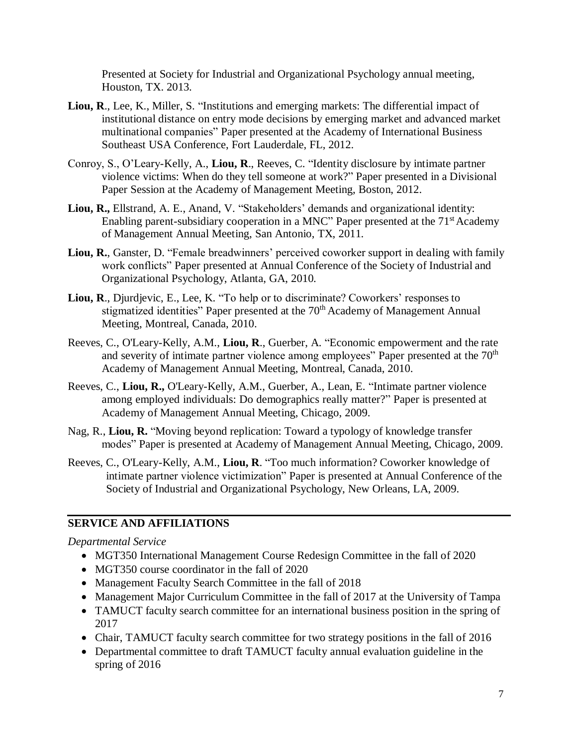Presented at Society for Industrial and Organizational Psychology annual meeting, Houston, TX. 2013.

- **Liou, R**., Lee, K., Miller, S. "Institutions and emerging markets: The differential impact of institutional distance on entry mode decisions by emerging market and advanced market multinational companies" Paper presented at the Academy of International Business Southeast USA Conference, Fort Lauderdale, FL, 2012.
- Conroy, S., O'Leary-Kelly, A., **Liou, R**., Reeves, C. "Identity disclosure by intimate partner violence victims: When do they tell someone at work?" Paper presented in a Divisional Paper Session at the Academy of Management Meeting, Boston, 2012.
- **Liou, R.,** Ellstrand, A. E., Anand, V. "Stakeholders' demands and organizational identity: Enabling parent-subsidiary cooperation in a MNC" Paper presented at the  $71<sup>st</sup>$  Academy of Management Annual Meeting, San Antonio, TX, 2011.
- **Liou, R.**, Ganster, D. "Female breadwinners' perceived coworker support in dealing with family work conflicts" Paper presented at Annual Conference of the Society of Industrial and Organizational Psychology, Atlanta, GA, 2010.
- **Liou, R**., Djurdjevic, E., Lee, K. "To help or to discriminate? Coworkers' responses to stigmatized identities" Paper presented at the 70<sup>th</sup> Academy of Management Annual Meeting, Montreal, Canada, 2010.
- Reeves, C., O'Leary-Kelly, A.M., **Liou, R**., Guerber, A. "Economic empowerment and the rate and severity of intimate partner violence among employees" Paper presented at the  $70<sup>th</sup>$ Academy of Management Annual Meeting, Montreal, Canada, 2010.
- Reeves, C., **Liou, R.,** O'Leary-Kelly, A.M., Guerber, A., Lean, E. "Intimate partner violence among employed individuals: Do demographics really matter?" Paper is presented at Academy of Management Annual Meeting, Chicago, 2009.
- Nag, R., **Liou, R.** "Moving beyond replication: Toward a typology of knowledge transfer modes" Paper is presented at Academy of Management Annual Meeting, Chicago, 2009.
- Reeves, C., O'Leary-Kelly, A.M., **Liou, R**. "Too much information? Coworker knowledge of intimate partner violence victimization" Paper is presented at Annual Conference of the Society of Industrial and Organizational Psychology, New Orleans, LA, 2009.

## **SERVICE AND AFFILIATIONS**

*Departmental Service*

- MGT350 International Management Course Redesign Committee in the fall of 2020
- MGT350 course coordinator in the fall of 2020
- Management Faculty Search Committee in the fall of 2018
- Management Major Curriculum Committee in the fall of 2017 at the University of Tampa
- TAMUCT faculty search committee for an international business position in the spring of 2017
- Chair, TAMUCT faculty search committee for two strategy positions in the fall of 2016
- Departmental committee to draft TAMUCT faculty annual evaluation guideline in the spring of 2016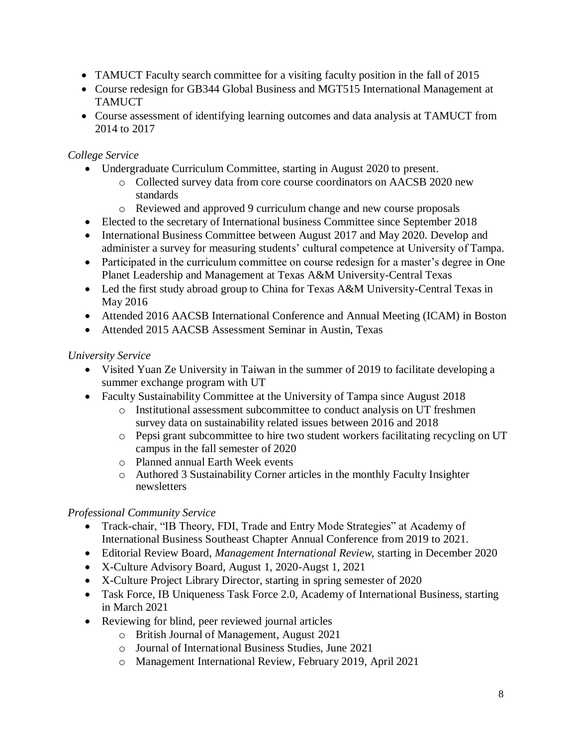- TAMUCT Faculty search committee for a visiting faculty position in the fall of 2015
- Course redesign for GB344 Global Business and MGT515 International Management at **TAMUCT**
- Course assessment of identifying learning outcomes and data analysis at TAMUCT from 2014 to 2017

## *College Service*

- Undergraduate Curriculum Committee, starting in August 2020 to present.
	- o Collected survey data from core course coordinators on AACSB 2020 new standards
	- o Reviewed and approved 9 curriculum change and new course proposals
- Elected to the secretary of International business Committee since September 2018
- International Business Committee between August 2017 and May 2020. Develop and administer a survey for measuring students' cultural competence at University of Tampa.
- Participated in the curriculum committee on course redesign for a master's degree in One Planet Leadership and Management at Texas A&M University-Central Texas
- Led the first study abroad group to China for Texas A&M University-Central Texas in May 2016
- Attended 2016 AACSB International Conference and Annual Meeting (ICAM) in Boston
- Attended 2015 AACSB Assessment Seminar in Austin, Texas

## *University Service*

- Visited Yuan Ze University in Taiwan in the summer of 2019 to facilitate developing a summer exchange program with UT
- Faculty Sustainability Committee at the University of Tampa since August 2018
	- o Institutional assessment subcommittee to conduct analysis on UT freshmen survey data on sustainability related issues between 2016 and 2018
	- o Pepsi grant subcommittee to hire two student workers facilitating recycling on UT campus in the fall semester of 2020
	- o Planned annual Earth Week events
	- o Authored 3 Sustainability Corner articles in the monthly Faculty Insighter newsletters

## *Professional Community Service*

- Track-chair, "IB Theory, FDI, Trade and Entry Mode Strategies" at Academy of International Business Southeast Chapter Annual Conference from 2019 to 2021.
- Editorial Review Board, *Management International Review,* starting in December 2020
- X-Culture Advisory Board, August 1, 2020-Augst 1, 2021
- X-Culture Project Library Director, starting in spring semester of 2020
- Task Force, IB Uniqueness Task Force 2.0, Academy of International Business, starting in March 2021
- Reviewing for blind, peer reviewed journal articles
	- o British Journal of Management, August 2021
	- o Journal of International Business Studies, June 2021
	- o Management International Review, February 2019, April 2021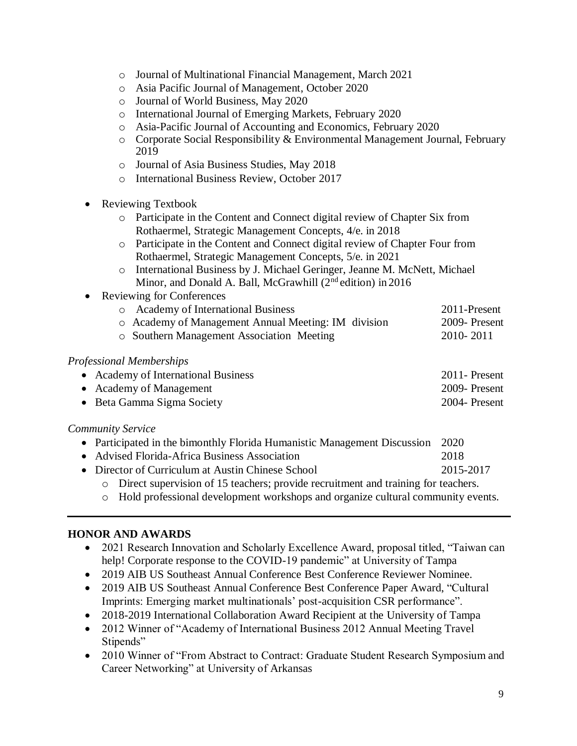- o Journal of Multinational Financial Management, March 2021
- o Asia Pacific Journal of Management, October 2020
- o Journal of World Business, May 2020
- o International Journal of Emerging Markets, February 2020
- o Asia-Pacific Journal of Accounting and Economics, February 2020
- o Corporate Social Responsibility & Environmental Management Journal, February 2019
- o Journal of Asia Business Studies, May 2018
- o International Business Review, October 2017
- Reviewing Textbook
	- o Participate in the Content and Connect digital review of Chapter Six from Rothaermel, Strategic Management Concepts, 4/e. in 2018
	- o Participate in the Content and Connect digital review of Chapter Four from Rothaermel, Strategic Management Concepts, 5/e. in 2021
	- o International Business by J. Michael Geringer, Jeanne M. McNett, Michael Minor, and Donald A. Ball, McGrawhill  $(2<sup>nd</sup>$ edition) in 2016
- Reviewing for Conferences
	- o Academy of International Business 2011-Present
	- o Academy of Management Annual Meeting: IM division 2009- Present o Southern Management Association Meeting 2010- 2011
	-

### *Professional Memberships*

| • Academy of International Business | 2011 - Present |
|-------------------------------------|----------------|
| • Academy of Management             | 2009-Present   |
| • Beta Gamma Sigma Society          | 2004- Present  |

### *Community Service*

- Participated in the bimonthly Florida Humanistic Management Discussion 2020
- Advised Florida-Africa Business Association 2018
- Director of Curriculum at Austin Chinese School 2015-2017
	- o Direct supervision of 15 teachers; provide recruitment and training for teachers.
	- o Hold professional development workshops and organize cultural community events.

### **HONOR AND AWARDS**

- 2021 Research Innovation and Scholarly Excellence Award, proposal titled, "Taiwan can help! Corporate response to the COVID-19 pandemic" at University of Tampa
- 2019 AIB US Southeast Annual Conference Best Conference Reviewer Nominee.
- 2019 AIB US Southeast Annual Conference Best Conference Paper Award, "Cultural Imprints: Emerging market multinationals' post-acquisition CSR performance".
- 2018-2019 International Collaboration Award Recipient at the University of Tampa
- 2012 Winner of "Academy of International Business 2012 Annual Meeting Travel Stipends"
- 2010 Winner of "From Abstract to Contract: Graduate Student Research Symposium and Career Networking" at University of Arkansas